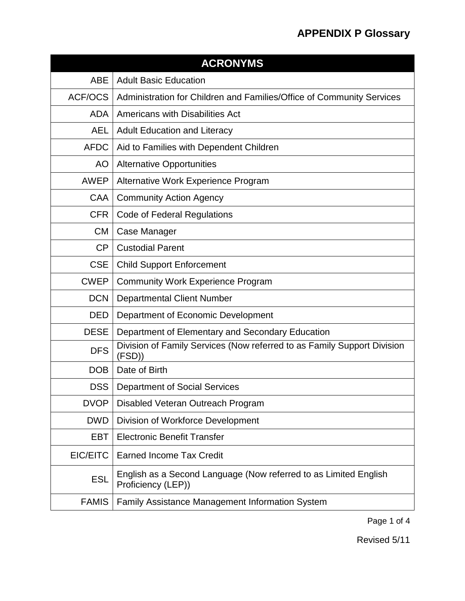## **APPENDIX P Glossary**

| <b>ACRONYMS</b> |                                                                                        |  |
|-----------------|----------------------------------------------------------------------------------------|--|
| <b>ABE</b>      | <b>Adult Basic Education</b>                                                           |  |
| ACF/OCS         | Administration for Children and Families/Office of Community Services                  |  |
| ADA             | Americans with Disabilities Act                                                        |  |
| <b>AEL</b>      | <b>Adult Education and Literacy</b>                                                    |  |
| <b>AFDC</b>     | Aid to Families with Dependent Children                                                |  |
| AO              | <b>Alternative Opportunities</b>                                                       |  |
| <b>AWEP</b>     | Alternative Work Experience Program                                                    |  |
| CAA             | <b>Community Action Agency</b>                                                         |  |
| <b>CFR</b>      | <b>Code of Federal Regulations</b>                                                     |  |
| <b>CM</b>       | Case Manager                                                                           |  |
| CP              | <b>Custodial Parent</b>                                                                |  |
| <b>CSE</b>      | <b>Child Support Enforcement</b>                                                       |  |
| <b>CWEP</b>     | <b>Community Work Experience Program</b>                                               |  |
| <b>DCN</b>      | <b>Departmental Client Number</b>                                                      |  |
| <b>DED</b>      | Department of Economic Development                                                     |  |
| <b>DESE</b>     | Department of Elementary and Secondary Education                                       |  |
| <b>DFS</b>      | Division of Family Services (Now referred to as Family Support Division<br>(FSD)       |  |
| <b>DOB</b>      | Date of Birth                                                                          |  |
| <b>DSS</b>      | <b>Department of Social Services</b>                                                   |  |
| <b>DVOP</b>     | Disabled Veteran Outreach Program                                                      |  |
| <b>DWD</b>      | Division of Workforce Development                                                      |  |
| <b>EBT</b>      | <b>Electronic Benefit Transfer</b>                                                     |  |
| EIC/EITC        | <b>Earned Income Tax Credit</b>                                                        |  |
| <b>ESL</b>      | English as a Second Language (Now referred to as Limited English<br>Proficiency (LEP)) |  |
| <b>FAMIS</b>    | <b>Family Assistance Management Information System</b>                                 |  |

Page 1 of 4

Revised 5/11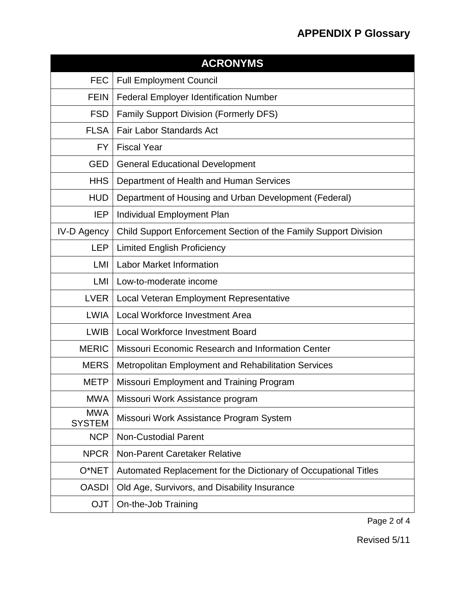## **APPENDIX P Glossary**

| <b>ACRONYMS</b>             |                                                                  |  |
|-----------------------------|------------------------------------------------------------------|--|
| <b>FEC</b>                  | <b>Full Employment Council</b>                                   |  |
| <b>FEIN</b>                 | <b>Federal Employer Identification Number</b>                    |  |
| <b>FSD</b>                  | <b>Family Support Division (Formerly DFS)</b>                    |  |
| <b>FLSA</b>                 | <b>Fair Labor Standards Act</b>                                  |  |
| FY.                         | <b>Fiscal Year</b>                                               |  |
| <b>GED</b>                  | <b>General Educational Development</b>                           |  |
| <b>HHS</b>                  | Department of Health and Human Services                          |  |
| <b>HUD</b>                  | Department of Housing and Urban Development (Federal)            |  |
| <b>IEP</b>                  | Individual Employment Plan                                       |  |
| <b>IV-D Agency</b>          | Child Support Enforcement Section of the Family Support Division |  |
| <b>LEP</b>                  | <b>Limited English Proficiency</b>                               |  |
| LMI                         | <b>Labor Market Information</b>                                  |  |
| LMI                         | Low-to-moderate income                                           |  |
| <b>LVER</b>                 | Local Veteran Employment Representative                          |  |
| <b>LWIA</b>                 | Local Workforce Investment Area                                  |  |
| <b>LWIB</b>                 | <b>Local Workforce Investment Board</b>                          |  |
| <b>MERIC</b>                | Missouri Economic Research and Information Center                |  |
| <b>MERS</b>                 | <b>Metropolitan Employment and Rehabilitation Services</b>       |  |
| <b>METP</b>                 | Missouri Employment and Training Program                         |  |
| <b>MWA</b>                  | Missouri Work Assistance program                                 |  |
| <b>MWA</b><br><b>SYSTEM</b> | Missouri Work Assistance Program System                          |  |
| <b>NCP</b>                  | <b>Non-Custodial Parent</b>                                      |  |
| <b>NPCR</b>                 | Non-Parent Caretaker Relative                                    |  |
| O*NET                       | Automated Replacement for the Dictionary of Occupational Titles  |  |
| <b>OASDI</b>                | Old Age, Survivors, and Disability Insurance                     |  |
| <b>OJT</b>                  | On-the-Job Training                                              |  |

Page 2 of 4

Revised 5/11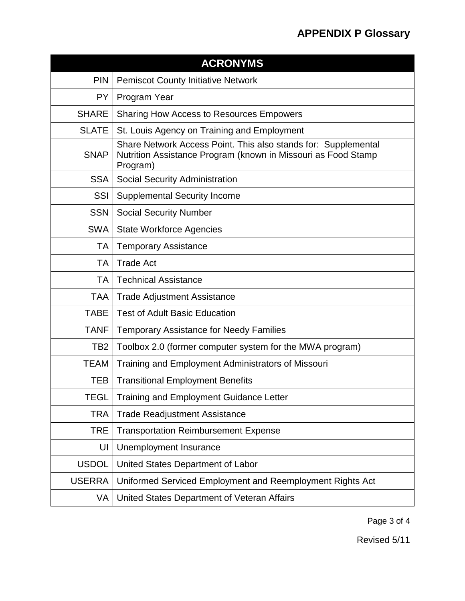| <b>ACRONYMS</b> |                                                                                                                                             |  |
|-----------------|---------------------------------------------------------------------------------------------------------------------------------------------|--|
| <b>PIN</b>      | <b>Pemiscot County Initiative Network</b>                                                                                                   |  |
| PY.             | Program Year                                                                                                                                |  |
| <b>SHARE</b>    | Sharing How Access to Resources Empowers                                                                                                    |  |
| <b>SLATE</b>    | St. Louis Agency on Training and Employment                                                                                                 |  |
| <b>SNAP</b>     | Share Network Access Point. This also stands for: Supplemental<br>Nutrition Assistance Program (known in Missouri as Food Stamp<br>Program) |  |
| <b>SSA</b>      | Social Security Administration                                                                                                              |  |
| SSI             | <b>Supplemental Security Income</b>                                                                                                         |  |
| <b>SSN</b>      | <b>Social Security Number</b>                                                                                                               |  |
| <b>SWA</b>      | <b>State Workforce Agencies</b>                                                                                                             |  |
| TA              | <b>Temporary Assistance</b>                                                                                                                 |  |
| ТA              | <b>Trade Act</b>                                                                                                                            |  |
| ТA              | <b>Technical Assistance</b>                                                                                                                 |  |
| <b>TAA</b>      | <b>Trade Adjustment Assistance</b>                                                                                                          |  |
| <b>TABE</b>     | <b>Test of Adult Basic Education</b>                                                                                                        |  |
| <b>TANF</b>     | <b>Temporary Assistance for Needy Families</b>                                                                                              |  |
| TB <sub>2</sub> | Toolbox 2.0 (former computer system for the MWA program)                                                                                    |  |
| <b>TEAM</b>     | Training and Employment Administrators of Missouri                                                                                          |  |
| TEB             | <b>Transitional Employment Benefits</b>                                                                                                     |  |
| <b>TEGL</b>     | Training and Employment Guidance Letter                                                                                                     |  |
| <b>TRA</b>      | <b>Trade Readjustment Assistance</b>                                                                                                        |  |
| <b>TRE</b>      | <b>Transportation Reimbursement Expense</b>                                                                                                 |  |
| UI              | Unemployment Insurance                                                                                                                      |  |
| <b>USDOL</b>    | United States Department of Labor                                                                                                           |  |
| <b>USERRA</b>   | Uniformed Serviced Employment and Reemployment Rights Act                                                                                   |  |
| VA              | United States Department of Veteran Affairs                                                                                                 |  |

Page 3 of 4

Revised 5/11